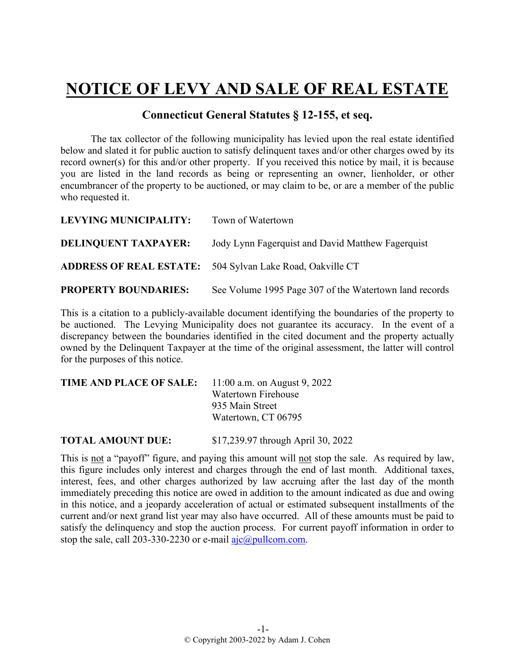## **NOTICE OF LEVY AND SALE OF REAL ESTATE**

## **Connecticut General Statutes § 12-155, et seq.**

The tax collector of the following municipality has levied upon the real estate identified below and slated it for public auction to satisfy delinquent taxes and/or other charges owed by its record owner(s) for this and/or other property. If you received this notice by mail, it is because you are listed in the land records as being or representing an owner, lienholder, or other encumbrancer of the property to be auctioned, or may claim to be, or are a member of the public who requested it.

| <b>LEVYING MUNICIPALITY:</b> | Town of Watertown                                                |
|------------------------------|------------------------------------------------------------------|
| <b>DELINQUENT TAXPAYER:</b>  | Jody Lynn Fager quist and David Matthew Fager quist              |
|                              | <b>ADDRESS OF REAL ESTATE:</b> 504 Sylvan Lake Road, Oakville CT |
| <b>PROPERTY BOUNDARIES:</b>  | See Volume 1995 Page 307 of the Watertown land records           |

This is a citation to a publicly-available document identifying the boundaries of the property to be auctioned. The Levying Municipality does not guarantee its accuracy. In the event of a discrepancy between the boundaries identified in the cited document and the property actually owned by the Delinquent Taxpayer at the time of the original assessment, the latter will control for the purposes of this notice.

| <b>TIME AND PLACE OF SALE:</b> | 11:00 a.m. on August 9, 2022 |
|--------------------------------|------------------------------|
|                                | Watertown Firehouse          |
|                                | 935 Main Street              |
|                                | Watertown, CT 06795          |
|                                |                              |

**TOTAL AMOUNT DUE:** \$17,239.97 through April 30, 2022

This is not a "payoff" figure, and paying this amount will not stop the sale. As required by law, this figure includes only interest and charges through the end of last month. Additional taxes, interest, fees, and other charges authorized by law accruing after the last day of the month immediately preceding this notice are owed in addition to the amount indicated as due and owing in this notice, and a jeopardy acceleration of actual or estimated subsequent installments of the current and/or next grand list year may also have occurred. All of these amounts must be paid to satisfy the delinquency and stop the auction process. For current payoff information in order to stop the sale, call 203-330-2230 or e-mail  $a$ jc $@p$ ullcom.com.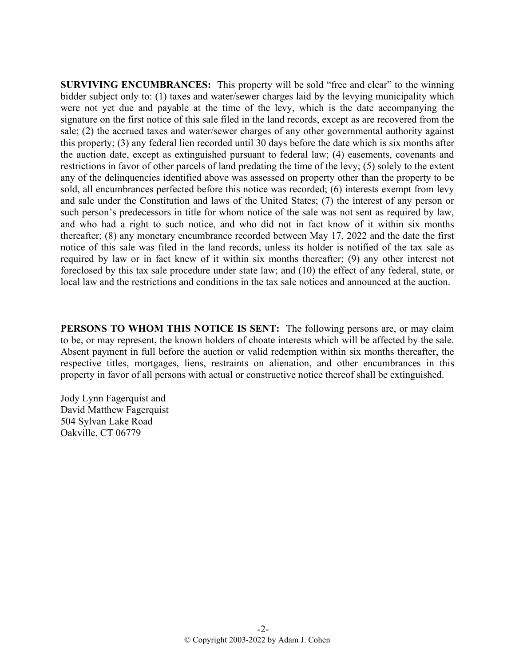**SURVIVING ENCUMBRANCES:** This property will be sold "free and clear" to the winning bidder subject only to: (1) taxes and water/sewer charges laid by the levying municipality which were not yet due and payable at the time of the levy, which is the date accompanying the signature on the first notice of this sale filed in the land records, except as are recovered from the sale; (2) the accrued taxes and water/sewer charges of any other governmental authority against this property; (3) any federal lien recorded until 30 days before the date which is six months after the auction date, except as extinguished pursuant to federal law; (4) easements, covenants and restrictions in favor of other parcels of land predating the time of the levy; (5) solely to the extent any of the delinquencies identified above was assessed on property other than the property to be sold, all encumbrances perfected before this notice was recorded; (6) interests exempt from levy and sale under the Constitution and laws of the United States; (7) the interest of any person or such person's predecessors in title for whom notice of the sale was not sent as required by law, and who had a right to such notice, and who did not in fact know of it within six months thereafter; (8) any monetary encumbrance recorded between May 17, 2022 and the date the first notice of this sale was filed in the land records, unless its holder is notified of the tax sale as required by law or in fact knew of it within six months thereafter; (9) any other interest not foreclosed by this tax sale procedure under state law; and (10) the effect of any federal, state, or local law and the restrictions and conditions in the tax sale notices and announced at the auction.

**PERSONS TO WHOM THIS NOTICE IS SENT:** The following persons are, or may claim to be, or may represent, the known holders of choate interests which will be affected by the sale. Absent payment in full before the auction or valid redemption within six months thereafter, the respective titles, mortgages, liens, restraints on alienation, and other encumbrances in this property in favor of all persons with actual or constructive notice thereof shall be extinguished.

Jody Lynn Fagerquist and David Matthew Fagerquist 504 Sylvan Lake Road Oakville, CT 06779